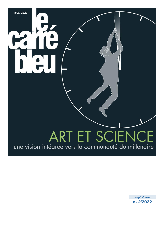## ART ET SCIENC E une vision intégrée vers la communauté du millénaire

n°2 / 2022

n. 2/2022 *english text*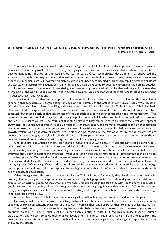## **ART AND SCIENCE : A INTEGRATED VISION TOWARDS THE MILLENNIUM COMMUNITY**

by Paolo and Vittorio Silvestrini

 The evolution of humanity is linked to the concept of growth, which in its historical development has been understood primarily as material growth. Now it is clearly emerging in the collective consciousness that continuous quantitative development is not allowed on a limited planet like the earth. Great technological development has supported the exponential growth of money in the world as well as an enormous availability of material resources, greater than at any other time in human history. However, this material growth has been accompanied by an equally rapid growth in pollutants and waste, with increasingly frequent environmental crises that are expected to become explosive in the coming decades.

 Moreover, material and economic well-being is not necessarily associated with collective well-being, if it is true that a large part of the world's population still lives in extreme poverty, while another part lives in fear and is intent on defending its privileges, even with weapons.

 The scientific debate that considers possible alternative developments for the future of mankind on the basis of very general global considerations began a long time ago on the initiative of the entrepreneur Aurelio Peccei who, together with the Scottish scientist Alexander King and many other cultural figures, founded the Club of Rome in 1968. The basic idea that united the experts of the Club of Rome is that the problems concerning the future of the world cannot be solved separately, but must be tackled through the use of global models in order to be understood in their interconnections. This approach led to the commissioning of a study by a group of experts at M.I.T., which resulted in the publication of a report entitled "*The limits to growth*". The results of that study, although they can be updated to reflect the latest development parameters, are as relevant as ever. First of all, it must be clear that a continuous growth of material goods is not sustainable in a finite system such as our planet; moreover, the current financial economic system of globalisation leads to exponential growth, which has an explosive character. We think that a perception of the explosive nature of the growth we are unconsciously encouraging on a global scale should be part of everyone's immediate experience, and this awareness should be a fundamental point of the educational system, starting from primary school.

 One of us (PS) has written a short story entitled "*Pietro il Re e un Dio bizzarro*" (Peter the King and a Bizarre God) , which deals in the form of a tale for children and adults with the mathematical, social and ethical consequences of a system that indefinitely encourages exponential financial growth such as our current model based on GDP as its essential element. Everyone should try to acquire this awareness without assuming that the current model of development is the only one, or the best possible. On the other hand, the use of many essential resources and the production of many pollutants have already exceeded physically sustainable rates, and we are using reserves accumulated over hundreds of millions of years at a dizzying pace. Without significant reductions there will be an uncontrolled decline in industrial production, energy consumption and food production per capita in the coming decades, with a crisis of unpredictable, but certainly undesirable and avoidable, characteristics.

 What emerges from the study commissioned by the Club of Rome is fortunately that this decline is not inevitable: avoiding it requires a global change in policy and ways of acting that perpetuate the continued growth of population and production of material goods. At the same time, we need a rapid increase in the efficiency with which energy and material goods are used, and an ecological restructuring of civilisation, according to guidelines that one of us (VS) indicated some thirty years ago, and which can be the subject of further study and the precise contribution of various fields of knowledge in an integrated overall view.

A sustainable society is technically and economically still possible, but requires awareness and will on the part of all.

 Humanity could then become aware that a truly sustainable society is more desirable than a society that tries to solve its problems by relying on constant expansion, and in so doing worsens them and postpones them to a more or less near future.

 The transition to a sustainable society requires a careful balance between long-term and short-term goals, and an emphasis on fair use, equity, quality of life, rather than quantity of output. It requires humility, maturity, human participation, and wisdom to guide technological development. In short, it requires a radical shift in priorities from the financial aspects and the separation between rich and poor, to those of participation and sharing and respect for all forms of life on the planet.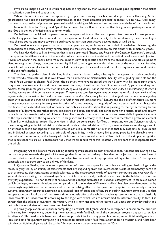If we are to imagine a world in which happiness is a right for all, then we must also devise good legislation that makes its realisation possible and supports it.

 When relationships are not underpinned by respect and sharing, they become deceptive and self-serving. So far, globalisation has been the competitive accumulation of the 'gross domestic product' economy. Up to now, "well-being" has been an expression of power and personal wealth, exalting selfishness and setting new boundaries of social exclusion.

 Now is the time for "being" and "good" to be united for a different value, so that Being means participation in Life and Good is the joy of existing in a common world.

 We believe that individual happiness cannot be separated from collective happiness, from respect for everyone and for the living planet, from freedom and the free expression of individual creativity. Evolution driven by new technologies must change course and move towards a qualitative rather than quantitative development of well-being.

 We need science to open up to what is not quantitative, to integrate humanistic knowledge, philosophy, the appreciation of beauty, art and every human discipline that enriches our presence on this planet with immaterial goods.

 We have decided to call the invitation that is being promoted "*Science and People in the Quantum Revolution*", precisely to emphasise the different vision of the world to which the recent experimental and theoretical developments of Quantum Physics are opening the doors, both from the point of view of application and from the philosophical and ethical point of view. Among other things, quantum non-locality linked to entanglement undermines one of the most radical founding principles of the classical scientific method, called the principle of local realism, and therefore requires a profound revision of the scientific method.

 The idea that guides scientific thinking is that there is a latent order, a beauty in the apparent chaotic complexity of the world's manifestation. It is well known that a criterion of mathematical beauty was a guiding principle for the Nobel Prize winner in physics Paul Dirac, the scientist who revolutionised the world view with his pioneering theory of quantum electrodynamics and the subsequent discovery of antimatter. Paul Dirac once said: "*If you are working on a physical theory from the point of view of the beauty of your equations, and if you really have a deep understanding of what it implies, you are certainly on the way to progress. If there is not complete agreement between the results of your work and the experiments, you should not be too discouraged, because the discrepancy may be due to minor features that are not adequately taken into account and that will be clarified with further research developments.*" Beauty, and the belief that there is a more or less concealed harmony in every manifestation of natural events, is the guide of both scientist and artist. Naturally, this leads to an extended concept of beauty, not only as a manifestation that is pleasing to the eye according to our patterns of judgement, but rather to the coincidence of beauty and truth, and at the same time justice, truth and beauty, in our imperfect manifestation of Universal Law. The Law thus becomes the human and essentially imperfect element of the representation of the equivalence of Truth, Justice and Harmony. In this Law there is therefore a profound element of humility, which guides artists, like scientists, in their personal search for Truth. Integrating Art and Science therefore means integrating an individual vision of the world with a universal vision of Truth, it means abandoning the egocentric or anthropocentric conception of the universe to achieve a perception of existence that fully respects its own unique and individual essence according to a principle of equanimity, in which every living being plays its irreplaceable role in the unity of the universe, in the beauty of this instant: a fundamental aspect of Truth is in fact the simple recognition that in existence we are all "contemporaries", that we all benefit from this "instant", we are part of it, inseparable from the whole.

 Integrating Art and Science means adding something irreplaceable to both art and science, it means discovering a new human discipline towards the path of knowledge that is neither exclusively subjective nor objective. It is a new form of research that is simultaneously subjective and objective, in a coherent superposition of "quantum states" that appear separable and separate only to an old way of thinking.

 In Quantum Physics, the coherent superposition of states that appear incompatible according to classical logic is the reality highlighted by an infinity of experiments that are expanding from the microscopic world of elementary particles such as protons, electrons, atoms or molecules etc. to the macroscopic world of quantum computers and everyday life in general, demonstrating that Schroedinger's cat, which is paradoxically both alive and dead, is the hidden truth of our everyday experience. The non-locality of nature and the concept expressed as *"quantum entanglement"* (a term also coined by Schroedinger, whose implications seemed paradoxical to scientists of Einstein's calibre) has also been demonstrated by increasingly sophisticated experiments and is the underlying effect of the quantum computer: exponentially complex systems, apparently separated according to a classical logic of cause and effect, are in reality 'quantum correlated', so that an operation on a local part of the system simultaneously affects the whole complex system in a way that is classically inconceivable, i.e. inconceivable according to the logic with which we are accustomed to interpret reality. In fact, it is certain that the advent of quantum information, which is now just around the corner, will upset our everyday reality and not only the world view of some quantum physicists.

 A primary application for quantum computing is artificial intelligence. Artificial intelligence is based on the principle of learning from experience, becoming more accurate with feedback, until the computer program appears to exhibit 'intelligence'. This feedback is based on calculating probabilities for many possible choices, so artificial intelligence is an ideal candidate for quantum computing. It promises to disrupt every field from automobiles to medicine, and it has been said that artificial intelligence will be to the 21st century what electricity was to the 20th.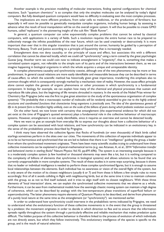Another example is the precision modelling of molecular interactions, finding optimal configurations for chemical reactions. Such "quantum chemistry" is so complex that only the simplest molecules can be analysed by today's digital computers. But fully developed quantum computers would have no difficulty in evaluating even the most complex processes.

 The implications are more efficient products, from solar cells to medicines, or the production of fertilisers; but especially it will soon be possible to genetically manipulate complex organisms, including human beings, by assessing in advance what the result of local manipulation will be on the overall organic system. It will thus be possible to create GMO humans, called 'replicants' in the pioneering insight of the cult film "*Blade Runner*".

 In general, a quantum computer can solve exponentially complex problems that cannot be solved by classical computers, with applications in a variety of fields. Such a revolution requires the entire human race to be prepared to collectively manage the infinite possibilities of the near future, which can be used creatively or destructively. It is more important than ever that in this singular transition that is just around the corner, humanity be guided by a perception of Harmony, Beauty, Truth and Justice according to a principle of Equanimity that is increasingly needed.

 Entanglement does not deny causality, or the principle of cause and effect, but associates this with a different correlation that cannot be observed locally, which we could call "synchronicity" using a term coined by the great psychologist Gustav Jung. Another term we could coin now to indicate entanglement is "organicity", that is, something that makes a correlated system organic, not referable to the simple sum of its parts and of the interactions between them, as we can imagine happening in biological organisms in which the whole acquires a unique and unrepeatable identity.

 In complex phenomena causality and synchronicity coexist, although one of the two phenomena may be more or less predominant. In general causal relations are more easily identifiable and measurable because they can be described in terms of cause-effect, to which the scientific method has historically given great importance, transferring this emphasis also to common thought which is consequently strongly marked by a mechanistic view of reality. However, the cause-effect principle alone cannot explain the genesis of organic phenomena or other processes in which synchronicity is a fundamental component. In biology, for example, we can explain how many of the chemical and physical processes that sustain and reproduce life take place, but the beginning of life remains shrouded in mystery. In the words of the Nobel Prize winner for Chemistry Ilya Prigogine (who was the first to give great attention to the study of the spontaneous organisation of complex systems): "*The probability that a macroscopic number of molecules will be randomly assembled to give rise to the highly ordered structures and coordinated functions that characterise living organisms is practically zero. The idea of the spontaneous genesis of life in its present form is therefore highly unlikely, even on the scale of the billions of years during which prebiotic evolution occurred.*"

 On the other hand, we now know with certainty that entanglement (the experimental evidence for which did not yet exist at the time of Prigogine's quoted sentence) plays a fundamental role in the collective behaviour of macroscopic systems. However, entanglement is not easily identifiable, since it requires an overview and cannot be detected locally.

 Here we want to give an example from everyday life to express our thoughts about how a collective behaviour of a complex system can be associated with local relations, and how synchronicity can be indicated in an evolutionary key, in the sense of the probabilistic process described by Prigogine.

 I think many have observed the collective figures that flocks of hundreds (or even thousands) of black birds called starlings sometimes perform in the skies over our cities. The movements of this collection of separate individuals appear to us to be so harmonious and synchronised that we are led to believe that there is an "intelligence" guiding the group, a leader from whom the synchronised movement originates. There have been many scientific studies trying to understand how these collective movements can be explained in physical-mathematical terms (e.g. see Attanasi, A, et al., 2014 "*Information transfer and behavioral inertia in starling flocks*" Nature Physics Vol.10, pp.691-696). The system is an interesting example because it is a moderately complex system (a few hundred or thousand elements may seem like a lot, but it is nothing compared to the complexity of billions of elements that synchronise in biological systems) and allows solutions to be found that are currently unapproachable in more complex systems. The result of these studies is in some ways surprising, because it shows that no leader or individual intelligence is needed to perform these complex synchronised figures, but it is enough to assume local relationships between the elements. Each individual has no awareness or vision of the overall flight of the system, but is only aware of the motion of its closest neighbours (usually 6 or 7) and from these it follows a few simple rules to move accordingly: first of all it avoids colliding in flight with neighbouring birds, but at the same time it tries to maintain cohesion with the group, so as not to find itself isolated, and it tries to align itself with its closest neighbours. With these three elements of 'local interaction' alone, we can explain the synchronised collective movements that we observe as a whole. Furthermore, it can be seen from mathematical models how the seemingly chaotic moving system can maintain a high degree of coherence, which can be described by analogy with the low-temperature phase transitions of superfluid helium or superconductivity. The latter phenomena require elements of Quantum Physics to be described, and derive from phenomena of a purely local nature at the same time as the entanglement (or "synchronicity") we mentioned earlier.

 In order to understand how synchronicity could intervene in the probabilistic terms indicated by Prigogine, we need to understand what the evolutionary function of these collective movements is: in the event that the group is threatened by a predator, the movement originates in order to decide in which direction to flee and to ensure that the information spreads rapidly throughout the system through a particularly effective and reliable mechanism that makes predation quite difficult. The hidden purpose of this collective behaviour is therefore linked to the process of evolution of which individuals are not directly aware, but which they follow instinctively. This evolutionary intelligence of the species is specific to the group, and is the result of natural selection.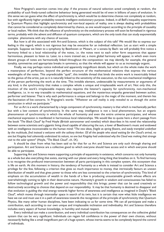Now Prigogine's assertion comes into play: if the process of natural selection acted completely at random, the probability of such finely-tuned collective behaviour being generated would be nil even in billions of years of evolution. In this sense we can guess what the effect of synchronicity is, which would be to determine choices not completely at random, but with significantly higher probability towards intelligent evolutionary purpose. Indeed, in all Bell's inequality experiments in Quantum Physics that highlight synchronicity and non-local aspects of reality, one is always dealing with probabilities that cannot be considered as completely determined by chance, as one would expect according to the principle of causality or local realism. We think that the influence of synchronicity on the evolutionary process will soon be formalised in rigorous terms, probably with the advent and diffusion of quantum computers, which are the only tools that can study exponentially complex phenomena with any chance of success.

 But how is all this associated with Art-and-Science, which is the subject of this talk? We would like to express our feeling in this regard, which is not rigorous but may be evocative for an individual reflection. Let us start with a simple example. Suppose we listen to a symphony by Beethoven or Mozart, or a sonata by Bach: we will probably first notice a harmony linked to a local relationship of the notes, i.e. the notes next to each other form sequences that appear harmonious, pleasant to listen to. Later, to a more trained ear, a more global harmony will appear, in which even more distant groups of notes are harmonically linked throughout the composition: we may identify, for example, the general tonality, symmetries and appropriate breaks in symmetry, so that the whole will appear to us as increasingly organic.

 Finally, we may perhaps notice individual and apparently insignificant details, but which on the whole make the work a masterpiece of perfection, beyond the perfect structure of the mathematical relations that express the various wavelengths of the notes. This unpredictable "quid", this invisible thread that binds the entire work is inextricably linked to the genius of the artist, just as it is naturally linked to the sensitivity of the execution, to the non-mechanical intelligence of the person performing the work at the time. This invisible element, undetectable by measurements or arguments of any kind, is the synchronicity that makes a complex whole a unique and irreplaceable work of art. Not only this, the intuition of the work's irreplaceable majesty also requires the listener's capacity for synchronicity, non-mechanical intelligence, i.e. in no way traceable to mathematical equations, and the mysterious empathy generated between author, performer and listener. That is why each performance is unique and belongs to the magic of the moment, and therein lies the fascination of live concerts. In Prigogine's words: "*Whatever we call reality is only revealed to us through the active construction in which we participate.*"

 For us Art is a work characterised by a large component of synchronicity, mastery is that which is mechanically perfect but with a low content of synchronicity. In the same way, intelligence is not a local phenomenon, but an organic phenomenon of synchronicity in which the whole of humanity and even the entire universe participates, and whose mechanical expression is manifested in harmonious local relationships. We would like to quote here a short passage from the book "*The Black Cloud*" by Fred Hoyle (British astronomer and novelist) which describes in his novel the relationship between some scientists and a gigantic living cloud capable of obscuring the sun, a lover of Beethoven's music and endowed with an intelligence inconceivable to the human mind: "*The new ideas, fragile as spring flowers, and easily trampled underfoot by the multitude, find instead a welcome with the solitary thinker. Of all the people who stood waiting for the Cloud's arrival, no one but Kingsley had coherently understood its nature, no one but Kingsley had understood why the Cloud was making that strange visit to the solar system*" (Hoyle, "*The Black Cloud*", ch. IX).

 It should be clear from what has been said so far that for us Art and Science are only such through sharing and participation. Art and Science are a collective good to which everyone should have access and in which everyone should be able to participate.

 Supporting Art and Science means supporting a principle of equanimity in existence, which concerns not only humanity as a whole but also everything that exists, starting with our planet and every living thing that breathes on it. To find harmony is to recognise the profound interconnection between all parts participating in this complex system, this ecosystem that is life on earth. At this moment in history, the tendency of humanity as a whole is instead to consider Art and Science a privilege for the few, following a criterion that gives so much importance to money, that intrinsically favours an uneven distribution of wealth and that gives power to those who are less connected to the criterion of synchronicity. This kind of emphasis on the accumulation of wealth in the hands of a few is producing unsustainable growth whose effects are overwhelmingly coming to light in their destructive nature. Humanity's growth in wisdom and consciousness has failed to follow technological growth and the power and responsibility that this brings; power that can be used creatively or destructively according to choices that depend on our responsibility. It may be that humanity is destined to disappear and that evolution is guiding the vital energy towards higher forms of awareness and intelligence as imagined in Doyle's "*Black Cloud*", which moves through interstellar space in search of its twin, but it is certain that now what little intelligence we have we can and must use it in a path of awareness towards the recognition of the principle of synchronicity that Quantum Physics, like many other human disciplines, have been indicating to us for some time. We can all participate and make a contribution, each according to our own unique and irreplaceable inclination and individuality. Art and Science therefore includes every aspect of human knowledge, in humility and mutual respect.

 Every individual can make a contribution, and every individual contribution has consequences on the collective global system that can be very significant. Individuals can regain full confidence in the power of their own choices, without necessarily feeling like a small insignificant part of a huge system, whose inertia seems to be completely beyond the control of individuals.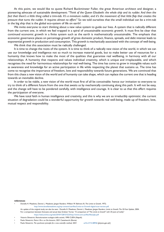At this point, we would like to quote Richard Buckminster Fuller, the great American architect and designer, a pioneering advocate of sustainable development: "*Think of the Queen Elisabeth: the whole ship and its rudder. And then the*  fact that there's a little thing called a trim-tab. It's a miniature rudder, and it's the movement of that little flap that creates the *pressure that turns the rudder. It requires almost no effort.*" So we told ourselves that the small individual can be a trim-tab in the big ship that is the global eco-system of life on earth!

We invite everyone to start thinking about a new value system to guide our lives. A system that is radically different from the current one, in which we feel trapped in a spiral of unsustainable economic growth. It must first be clear that continued economic growth in a finite system such as the earth is mathematically unsustainable. The emphasis that economic governance places on percentage growth of gross domestic product, finance, spreads, and debt interest leads to exponential growth in production and consumption. This growth is mechanically associated with the concept of well-being.

We think that this association must be radically challenged.

 It is time to change the roots of the system. It is time to think of a radically new vision of the world, in which we can use our knowledge and intelligence not so much to increase material goods, but to make better use of resources for a humanity that knows how to make the most of the qualities that guarantee real wellbeing, in harmony with all our relationships. A humanity that respects and values individual creativity, which is unique and irreplaceable, and which recognises the need for harmonious relationships for real well-being. The time has come to grow in intangible values such as awareness and knowledge for an active participation in life while respecting the planet that sustains us. The time has come to recognise the importance of freedom, love and responsibility towards future generations. We are convinced that from this chaos a new vision of the world and of humanity can take shape, which can replace the current one that is heading towards an inevitable decline.

 In order to be viable, a new vision of the world must first of all be conceivable: hence our invitation to everyone to try to think of a different future from the one that awaits us by mechanically continuing along this path. It will not be easy, and the change will have to be pondered carefully, with intelligence and courage. It is clear to us that this effort requires the participation of everyone.

 We have total faith in human intelligence and creativity, and this is why we are so irreducibly optimistic: the current situation of degradation could be a wonderful opportunity for growth towards real well-being, made up of freedom, love, mutual respect and responsibility.

## **references**

• Donella H. Meadows, Dennis L. Meadows; Jørgen Randers; William W. Behrens III, *The Limits to Growth*, 1972;

http://www.donellameadows.org/wp-content/userfiles/Limits-to-Growth-digital-scan-version.pdf.

 An update of the original study can also be seen: Donella H. Meadows, Dennis L. Meadows; Jørgen Randers, *Limits to Growth: The 30-Year Update*, 2004. For a comparison between forecasts and actual data Graham Turner, "A comparison of "*The Limits to Growth" with 30 years of reality*" https://web.archive.org/web/20101128151523/http://www.csiro.au/files/files/plje.pdf

- Vittorio Silvestrini, *Ristrutturazione ecologica della società*, 1990 CUEN (Napoli).
- Paolo Silvestrini, *Pietro il Re e un Dio bizzarro*, 2021 Castelvecchi (Roma).
- Paolo Silvestrini, The synchronic principle for a new scientific method, 2021 arXiv:2112.08946 [physics.gen-ph]